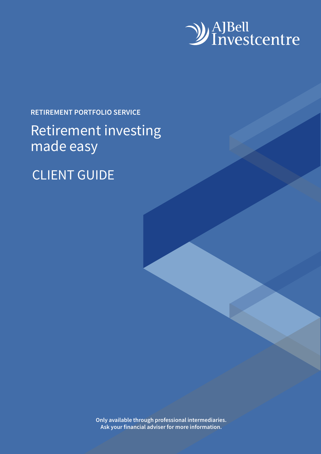

## **RETIREMENT PORTFOLIO SERVICE**

## Retirement investing made easy

## CLIENT GUIDE

**Only available through professional intermediaries. Ask your financial adviser for more information.**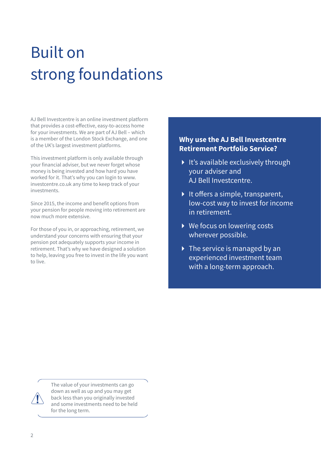# Built on strong foundations

AJ Bell Investcentre is an online investment platform that provides a cost-effective, easy-to-access home for your investments. We are part of AJ Bell – which is a member of the London Stock Exchange, and one of the UK's largest investment platforms.

This investment platform is only available through your financial adviser, but we never forget whose money is being invested and how hard you have worked for it. That's why you can login to www. investcentre.co.uk any time to keep track of your investments.

Since 2015, the income and benefit options from your pension for people moving into retirement are now much more extensive.

For those of you in, or approaching, retirement, we understand your concerns with ensuring that your pension pot adequately supports your income in retirement. That's why we have designed a solution to help, leaving you free to invest in the life you want to live.

#### **Why use the AJ Bell Investcentre Retirement Portfolio Service?**

- $\blacktriangleright$  It's available exclusively through your adviser and AJ Bell Investcentre.
- $\blacktriangleright$  It offers a simple, transparent, low-cost way to invest for income in retirement.
- ▶ We focus on lowering costs wherever possible.
- $\triangleright$  The service is managed by an experienced investment team with a long-term approach.

The value of your investments can go down as well as up and you may get back less than you originally invested and some investments need to be held for the long term.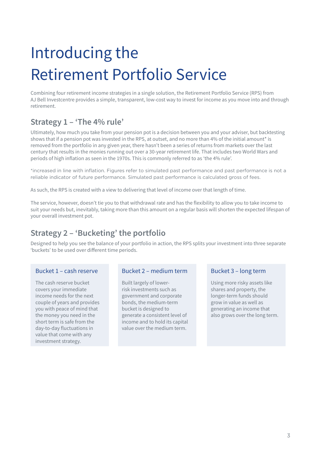# Introducing the Retirement Portfolio Service

Combining four retirement income strategies in a single solution, the Retirement Portfolio Service (RPS) from AJ Bell Investcentre provides a simple, transparent, low-cost way to invest for income as you move into and through retirement.

### **Strategy 1 – 'The 4% rule'**

Ultimately, how much you take from your pension pot is a decision between you and your adviser, but backtesting shows that if a pension pot was invested in the RPS, at outset, and no more than 4% of the initial amount\* is removed from the portfolio in any given year, there hasn't been a series of returns from markets over the last century that results in the monies running out over a 30-year retirement life. That includes two World Wars and periods of high inflation as seen in the 1970s. This is commonly referred to as 'the 4% rule'.

\*increased in line with inflation. Figures refer to simulated past performance and past performance is not a reliable indicator of future performance. Simulated past performance is calculated gross of fees.

As such, the RPS is created with a view to delivering that level of income over that length of time.

The service, however, doesn't tie you to that withdrawal rate and has the flexibility to allow you to take income to suit your needs but, inevitably, taking more than this amount on a regular basis will shorten the expected lifespan of your overall investment pot.

### **Strategy 2 – 'Bucketing' the portfolio**

Designed to help you see the balance of your portfolio in action, the RPS splits your investment into three separate 'buckets' to be used over different time periods.

The cash reserve bucket covers your immediate income needs for the next couple of years and provides you with peace of mind that the money you need in the short term is safe from the day-to-day fluctuations in value that come with any investment strategy.

#### Bucket 1 – cash reserve Bucket 2 – medium term Bucket 3 – long term

Built largely of lowerrisk investments such as government and corporate bonds, the medium-term bucket is designed to generate a consistent level of income and to hold its capital value over the medium term.

Using more risky assets like shares and property, the longer-term funds should grow in value as well as generating an income that also grows over the long term.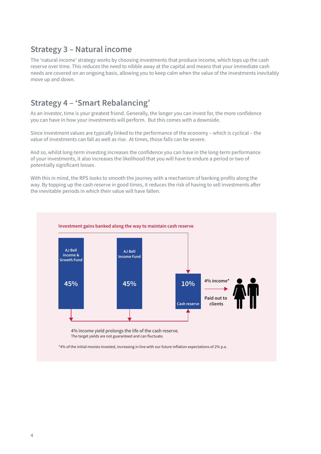#### **Strategy 3 – Natural income**

The 'natural income' strategy works by choosing investments that produce income, which tops up the cash reserve over time. This reduces the need to nibble away at the capital and means that your immediate cash needs are covered on an ongoing basis, allowing you to keep calm when the value of the investments inevitably move up and down.

#### **Strategy 4 – 'Smart Rebalancing'**

As an investor, time is your greatest friend. Generally, the longer you can invest for, the more confidence you can have in how your investments will perform. But this comes with a downside.

Since investment values are typically linked to the performance of the economy – which is cyclical – the value of investments can fall as well as rise. At times, those falls can be severe.

And so, whilst long-term investing increases the confidence you can have in the long-term performance of your investments, it also increases the likelihood that you will have to endure a period or two of potentially significant losses.

With this in mind, the RPS looks to smooth the journey with a mechanism of banking profits along the way. By topping up the cash reserve in good times, it reduces the risk of having to sell investments after the inevitable periods in which their value will have fallen.

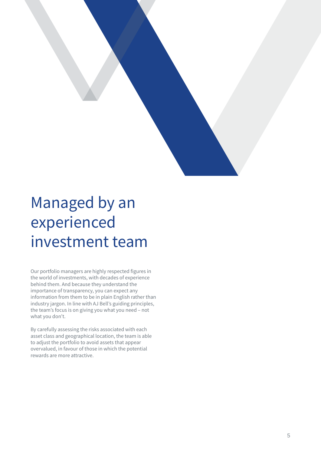

# Managed by an experienced investment team

Our portfolio managers are highly respected figures in the world of investments, with decades of experience behind them. And because they understand the importance of transparency, you can expect any information from them to be in plain English rather than industry jargon. In line with AJ Bell's guiding principles, the team's focus is on giving you what you need – not what you don't.

By carefully assessing the risks associated with each asset class and geographical location, the team is able to adjust the portfolio to avoid assets that appear overvalued, in favour of those in which the potential rewards are more attractive.